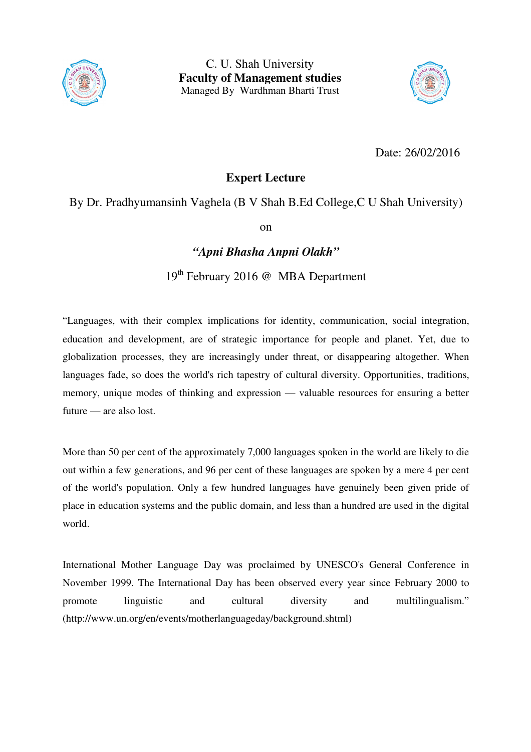



Date: 26/02/2016

## **Expert Lecture**

## By Dr. Pradhyumansinh Vaghela (B V Shah B.Ed College,C U Shah University)

on

## *"Apni Bhasha Anpni Olakh"*

19th February 2016 @ MBA Department

"Languages, with their complex implications for identity, communication, social integration, education and development, are of strategic importance for people and planet. Yet, due to globalization processes, they are increasingly under threat, or disappearing altogether. When languages fade, so does the world's rich tapestry of cultural diversity. Opportunities, traditions, memory, unique modes of thinking and expression — valuable resources for ensuring a better future — are also lost.

More than 50 per cent of the approximately 7,000 languages spoken in the world are likely to die out within a few generations, and 96 per cent of these languages are spoken by a mere 4 per cent of the world's population. Only a few hundred languages have genuinely been given pride of place in education systems and the public domain, and less than a hundred are used in the digital world.

International Mother Language Day was proclaimed by UNESCO's General Conference in November 1999. The International Day has been observed every year since February 2000 to promote linguistic and cultural diversity and multilingualism." (http://www.un.org/en/events/motherlanguageday/background.shtml)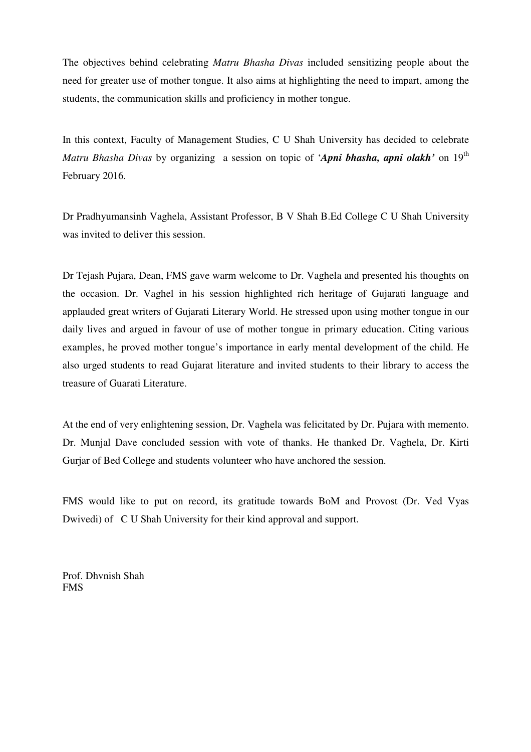The objectives behind celebrating *Matru Bhasha Divas* included sensitizing people about the need for greater use of mother tongue. It also aims at highlighting the need to impart, among the students, the communication skills and proficiency in mother tongue.

In this context, Faculty of Management Studies, C U Shah University has decided to celebrate *Matru Bhasha Divas* by organizing a session on topic of '*Apni bhasha, apni olakh'* on 19<sup>th</sup> February 2016.

Dr Pradhyumansinh Vaghela, Assistant Professor, B V Shah B.Ed College C U Shah University was invited to deliver this session.

Dr Tejash Pujara, Dean, FMS gave warm welcome to Dr. Vaghela and presented his thoughts on the occasion. Dr. Vaghel in his session highlighted rich heritage of Gujarati language and applauded great writers of Gujarati Literary World. He stressed upon using mother tongue in our daily lives and argued in favour of use of mother tongue in primary education. Citing various examples, he proved mother tongue's importance in early mental development of the child. He also urged students to read Gujarat literature and invited students to their library to access the treasure of Guarati Literature.

At the end of very enlightening session, Dr. Vaghela was felicitated by Dr. Pujara with memento. Dr. Munjal Dave concluded session with vote of thanks. He thanked Dr. Vaghela, Dr. Kirti Gurjar of Bed College and students volunteer who have anchored the session.

FMS would like to put on record, its gratitude towards BoM and Provost (Dr. Ved Vyas Dwivedi) of C U Shah University for their kind approval and support.

Prof. Dhvnish Shah FMS